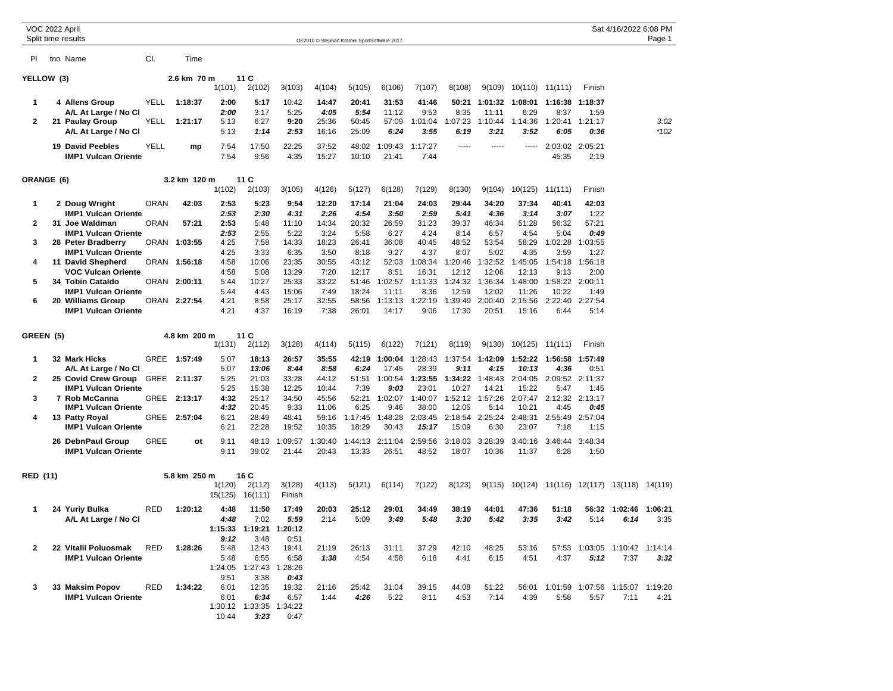| VOC 2022 April |  | Split time results                              |             |              |                   |                                 |                  | OE2010 © Stephan Krämer SportSoftware 2017 |                  |                  |                  |                          |                  |                  |                          |                 | Sat 4/16/2022 6:08 PM           | Page 1  |
|----------------|--|-------------------------------------------------|-------------|--------------|-------------------|---------------------------------|------------------|--------------------------------------------|------------------|------------------|------------------|--------------------------|------------------|------------------|--------------------------|-----------------|---------------------------------|---------|
| PL             |  | tno Name                                        | CI.         | Time         |                   |                                 |                  |                                            |                  |                  |                  |                          |                  |                  |                          |                 |                                 |         |
| YELLOW (3)     |  |                                                 | 2.6 km 70 m |              | 11 C              |                                 |                  |                                            |                  |                  |                  |                          |                  |                  |                          |                 |                                 |         |
|                |  |                                                 |             |              | 1(101)            | 2(102)                          | 3(103)           | 4(104)                                     | 5(105)           | 6(106)           | 7(107)           | 8(108)                   | 9(109)           | 10(110) 11(111)  |                          | Finish          |                                 |         |
| 1              |  | <b>4 Allens Group</b>                           | YELL        | 1:18:37      | 2:00              | 5:17                            | 10:42            | 14:47                                      | 20:41            | 31:53            | 41:46            | 50:21                    | 1:01:32          | 1:08:01          | 1:16:38                  | 1:18:37         |                                 |         |
| 2              |  | A/L At Large / No Cl<br>21 Paulay Group         | YELL        | 1:21:17      | 2:00<br>5:13      | 3:17<br>6:27                    | 5:25<br>9:20     | 4:05<br>25:36                              | 5:54<br>50:45    | 11:12<br>57:09   | 9:53<br>1:01:04  | 8:35<br>1:07:23          | 11:11<br>1:10:44 | 6:29<br>1:14:36  | 8:37<br>1:20:41          | 1:59<br>1:21:17 |                                 | 3:02    |
|                |  | A/L At Large / No Cl                            |             |              | 5:13              | 1:14                            | 2:53             | 16:16                                      | 25:09            | 6:24             | 3:55             | 6:19                     | 3:21             | 3:52             | 6:05                     | 0:36            |                                 | $*102$  |
|                |  | 19 David Peebles<br><b>IMP1 Vulcan Oriente</b>  | YELL        | mp           | 7:54<br>7:54      | 17:50<br>9:56                   | 22:25<br>4:35    | 37:52<br>15:27                             | 48:02<br>10:10   | 1:09:43<br>21:41 | 1:17:27<br>7:44  | -----                    | -----            | -----            | 2:03:02<br>45:35         | 2:05:21<br>2:19 |                                 |         |
| ORANGE (6)     |  |                                                 |             | 3.2 km 120 m |                   | 11 C                            |                  |                                            |                  |                  |                  |                          |                  |                  |                          |                 |                                 |         |
|                |  |                                                 |             |              | 1(102)            | 2(103)                          | 3(105)           | 4(126)                                     | 5(127)           | 6(128)           | 7(129)           | 8(130)                   | 9(104)           | 10(125)          | 11(111)                  | Finish          |                                 |         |
| 1              |  | 2 Doug Wright                                   | <b>ORAN</b> | 42:03        | 2:53              | 5:23                            | 9:54             | 12:20                                      | 17:14            | 21:04            | 24:03            | 29:44                    | 34:20            | 37:34            | 40:41                    | 42:03           |                                 |         |
| 2              |  | <b>IMP1 Vulcan Oriente</b><br>31 Joe Waldman    | <b>ORAN</b> | 57:21        | 2:53<br>2:53      | 2:30<br>5:48                    | 4:31<br>11:10    | 2:26<br>14:34                              | 4:54<br>20:32    | 3:50<br>26:59    | 2:59<br>31:23    | 5:41<br>39:37            | 4:36<br>46:34    | 3:14<br>51:28    | 3:07<br>56:32            | 1:22<br>57:21   |                                 |         |
|                |  | <b>IMP1 Vulcan Oriente</b>                      |             |              | 2:53              | 2:55                            | 5:22             | 3:24                                       | 5:58             | 6:27             | 4:24             | 8:14                     | 6:57             | 4:54             | 5:04                     | 0:49            |                                 |         |
| 3              |  | 28 Peter Bradberry                              |             | ORAN 1:03:55 | 4:25              | 7:58                            | 14:33            | 18:23                                      | 26:41            | 36:08            | 40:45            | 48:52                    | 53:54            | 58:29            | 1:02:28                  | 1:03:55         |                                 |         |
| 4              |  | <b>IMP1 Vulcan Oriente</b><br>11 David Shepherd |             | ORAN 1:56:18 | 4:25<br>4:58      | 3:33<br>10:06                   | 6:35<br>23:35    | 3:50<br>30:55                              | 8:18<br>43:12    | 9:27<br>52:03    | 4:37<br>1:08:34  | 8:07<br>1:20:46          | 5:02<br>1:32:52  | 4:35<br>1:45:05  | 3:59<br>1:54:18          | 1:27<br>1:56:18 |                                 |         |
|                |  | VOC Vulcan Oriente                              |             |              | 4:58              | 5:08                            | 13:29            | 7:20                                       | 12:17            | 8:51             | 16:31            | 12:12                    | 12:06            | 12:13            | 9:13                     | 2:00            |                                 |         |
| 5              |  | 34 Tobin Cataldo                                |             | ORAN 2:00:11 | 5:44              | 10:27                           | 25:33            | 33:22                                      | 51:46            | 1:02:57          | 1:11:33          | 1:24:32                  | 1:36:34          | 1:48:00          | 1:58:22 2:00:11          |                 |                                 |         |
| 6              |  | <b>IMP1 Vulcan Oriente</b><br>20 Williams Group |             | ORAN 2:27:54 | 5:44<br>4:21      | 4:43<br>8:58                    | 15:06<br>25:17   | 7:49<br>32:55                              | 18:24<br>58:56   | 11:11<br>1:13:13 | 8:36<br>1:22:19  | 12:59<br>1:39:49         | 12:02<br>2:00:40 | 11:26<br>2:15:56 | 10:22<br>2:22:40 2:27:54 | 1:49            |                                 |         |
|                |  | <b>IMP1 Vulcan Oriente</b>                      |             |              | 4:21              | 4:37                            | 16:19            | 7:38                                       | 26:01            | 14:17            | 9:06             | 17:30                    | 20:51            | 15:16            | 6:44                     | 5:14            |                                 |         |
| GREEN (5)      |  |                                                 |             | 4.8 km 200 m |                   | 11 C                            |                  |                                            |                  |                  |                  |                          |                  |                  |                          |                 |                                 |         |
|                |  |                                                 |             |              | 1(131)            | 2(112)                          | 3(128)           | 4(114)                                     | 5(115)           | 6(122)           | 7(121)           | 8(119)                   | 9(130)           |                  | $10(125)$ $11(111)$      | Finish          |                                 |         |
| 1              |  | 32 Mark Hicks<br>A/L At Large / No Cl           | GREE        | 1:57:49      | 5:07<br>5:07      | 18:13<br>13:06                  | 26:57<br>8:44    | 35:55<br>8:58                              | 42:19<br>6:24    | 1:00:04<br>17:45 | 1:28:43<br>28:39 | 1:37:54<br>9:11          | 1:42:09<br>4:15  | 1:52:22<br>10:13 | 1:56:58<br>4:36          | 1:57:49<br>0:51 |                                 |         |
| 2              |  | 25 Covid Crew Group                             | <b>GREE</b> | 2:11:37      | 5:25              | 21:03                           | 33:28            | 44:12                                      | 51:51            | 1:00:54          | 1:23:55          | 1:34:22                  | 1:48:43          | 2:04:05          | 2:09:52                  | 2:11:37         |                                 |         |
| 3              |  | <b>IMP1 Vulcan Oriente</b><br>7 Rob McCanna     |             | GREE 2:13:17 | 5:25<br>4:32      | 15:38<br>25:17                  | 12:25<br>34:50   | 10:44<br>45:56                             | 7:39<br>52:21    | 9:03<br>1:02:07  | 23:01<br>1:40:07 | 10:27<br>1:52:12 1:57:26 | 14:21            | 15:22<br>2:07:47 | 5:47<br>2:12:32 2:13:17  | 1:45            |                                 |         |
|                |  | <b>IMP1 Vulcan Oriente</b>                      |             |              | 4:32              | 20:45                           | 9:33             | 11:06                                      | 6:25             | 9:46             | 38:00            | 12:05                    | 5:14             | 10:21            | 4:45                     | 0:45            |                                 |         |
| 4              |  | 13 Patty Royal<br><b>IMP1 Vulcan Oriente</b>    |             | GREE 2:57:04 | 6:21<br>6:21      | 28:49<br>22:28                  | 48:41<br>19:52   | 59:16<br>10:35                             | 1:17:45<br>18:29 | 1:48:28<br>30:43 | 2:03:45<br>15:17 | 2:18:54 2:25:24<br>15:09 | 6:30             | 2:48:31<br>23:07 | 2:55:49<br>7:18          | 2:57:04<br>1:15 |                                 |         |
|                |  | 26 DebnPaul Group<br><b>IMP1 Vulcan Oriente</b> | GREE        | οt           | 9:11<br>9:11      | 48:13<br>39:02                  | 1:09:57<br>21:44 | :30:40<br>20:43                            | 1:44:13<br>13:33 | 2:11:04<br>26:51 | 2:59:56<br>48:52 | 3:18:03<br>18:07         | 3:28:39<br>10:36 | 3:40:16<br>11:37 | 3:46:44<br>6:28          | 3:48:34<br>1:50 |                                 |         |
|                |  |                                                 |             |              |                   |                                 |                  |                                            |                  |                  |                  |                          |                  |                  |                          |                 |                                 |         |
| RED (11)       |  |                                                 |             | 5.8 km 250 m |                   | 16 C                            |                  |                                            |                  |                  | 7(122)           | 8(123)                   |                  |                  |                          |                 | 13(118)                         |         |
|                |  |                                                 |             |              | 1(120)<br>15(125) | 2(112)<br>16(111)               | 3(128)<br>Finish | 4(113)                                     | 5(121)           | 6(114)           |                  |                          | 9(115)           | 10(124)          | 11(116) 12(117)          |                 |                                 | 14(119) |
| 1              |  | 24 Yuriy Bulka                                  | RED         | 1:20:12      | 4:48              | 11:50                           | 17:49            | 20:03                                      | 25:12            | 29:01            | 34:49            | 38:19                    | 44:01            | 47:36            | 51:18                    | 56:32           | 1:02:46                         | 1:06:21 |
|                |  | A/L At Large / No Cl                            |             |              | 4:48<br>1:15:33   | 7:02<br>1:19:21                 | 5:59<br>1:20:12  | 2:14                                       | 5:09             | 3:49             | 5:48             | 3:30                     | 5:42             | 3:35             | 3:42                     | 5:14            | 6:14                            | 3:35    |
|                |  |                                                 |             |              | 9:12              | 3:48                            | 0:51             |                                            |                  |                  |                  |                          |                  |                  |                          |                 |                                 |         |
| $\mathbf{2}$   |  | 22 Vitalii Poluosmak                            | RED         | 1:28:26      | 5:48              | 12:43                           | 19:41            | 21:19                                      | 26:13            | 31:11            | 37:29            | 42:10                    | 48:25            | 53:16            | 57:53                    |                 | 1:03:05  1:10:42  1:14:14       |         |
|                |  | <b>IMP1 Vulcan Oriente</b>                      |             |              | 5:48              | 6:55<br>1:24:05 1:27:43 1:28:26 | 6:58             | 1:38                                       | 4:54             | 4:58             | 6:18             | 4:41                     | 6:15             | 4:51             | 4:37                     | 5:12            | 7:37                            | 3:32    |
|                |  |                                                 |             |              | 9:51              | 3:38                            | 0:43             |                                            |                  |                  |                  |                          |                  |                  |                          |                 |                                 |         |
| 3              |  | 33 Maksim Popov                                 | RED         | 1:34:22      | 6:01              | 12:35                           | 19:32            | 21:16                                      | 25:42            | 31:04            | 39:15            | 44:08                    | 51:22            | 56:01            |                          |                 | 1:01:59 1:07:56 1:15:07 1:19:28 |         |
|                |  | <b>IMP1 Vulcan Oriente</b>                      |             |              | 6:01              | 6:34<br>1:30:12 1:33:35 1:34:22 | 6:57             | 1:44                                       | 4:26             | 5:22             | 8:11             | 4:53                     | 7:14             | 4:39             | 5:58                     | 5:57            | 7:11                            | 4:21    |
|                |  |                                                 |             |              | 10:44             | 3:23                            | 0:47             |                                            |                  |                  |                  |                          |                  |                  |                          |                 |                                 |         |